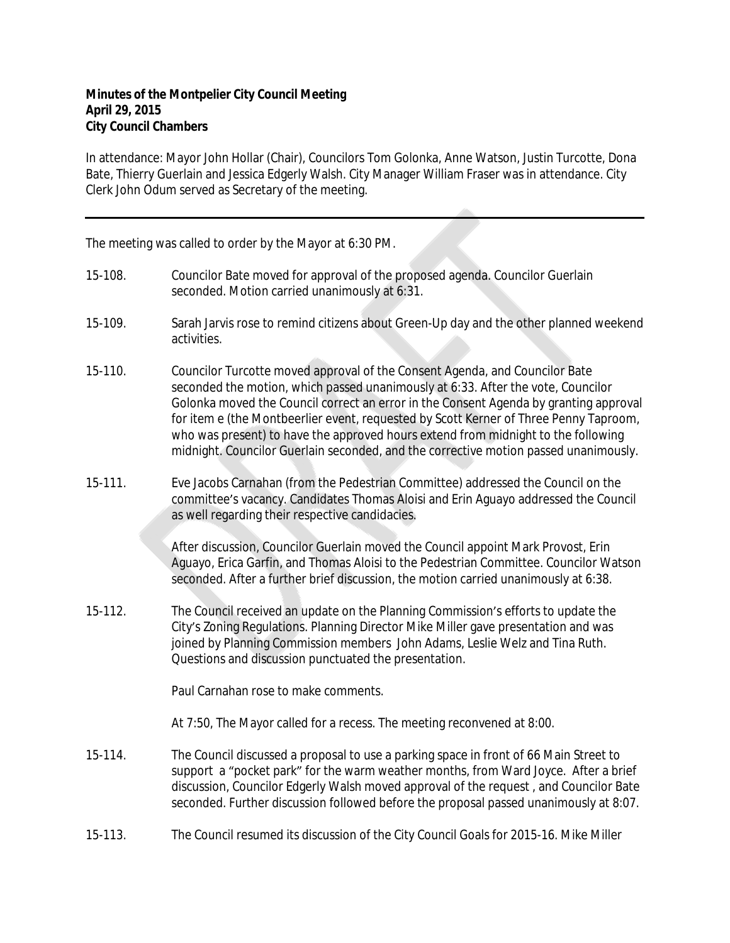## **Minutes of the Montpelier City Council Meeting April 29, 2015 City Council Chambers**

In attendance: Mayor John Hollar (Chair), Councilors Tom Golonka, Anne Watson, Justin Turcotte, Dona Bate, Thierry Guerlain and Jessica Edgerly Walsh. City Manager William Fraser was in attendance. City Clerk John Odum served as Secretary of the meeting.

The meeting was called to order by the Mayor at 6:30 PM.

- 15-108. Councilor Bate moved for approval of the proposed agenda. Councilor Guerlain seconded. Motion carried unanimously at 6:31.
- 15-109. Sarah Jarvis rose to remind citizens about Green-Up day and the other planned weekend activities.
- 15-110. Councilor Turcotte moved approval of the Consent Agenda, and Councilor Bate seconded the motion, which passed unanimously at 6:33. After the vote, Councilor Golonka moved the Council correct an error in the Consent Agenda by granting approval for item e (the Montbeerlier event, requested by Scott Kerner of Three Penny Taproom, who was present) to have the approved hours extend from midnight to the following midnight. Councilor Guerlain seconded, and the corrective motion passed unanimously.
- 15-111. Eve Jacobs Carnahan (from the Pedestrian Committee) addressed the Council on the committee's vacancy. Candidates Thomas Aloisi and Erin Aguayo addressed the Council as well regarding their respective candidacies.

After discussion, Councilor Guerlain moved the Council appoint Mark Provost, Erin Aguayo, Erica Garfin, and Thomas Aloisi to the Pedestrian Committee. Councilor Watson seconded. After a further brief discussion, the motion carried unanimously at 6:38.

15-112. The Council received an update on the Planning Commission's efforts to update the City's Zoning Regulations. Planning Director Mike Miller gave presentation and was joined by Planning Commission members John Adams, Leslie Welz and Tina Ruth. Questions and discussion punctuated the presentation.

Paul Carnahan rose to make comments.

At 7:50, The Mayor called for a recess. The meeting reconvened at 8:00.

- 15-114. The Council discussed a proposal to use a parking space in front of 66 Main Street to support a "pocket park" for the warm weather months, from Ward Joyce. After a brief discussion, Councilor Edgerly Walsh moved approval of the request , and Councilor Bate seconded. Further discussion followed before the proposal passed unanimously at 8:07.
- 15-113. The Council resumed its discussion of the City Council Goals for 2015-16. Mike Miller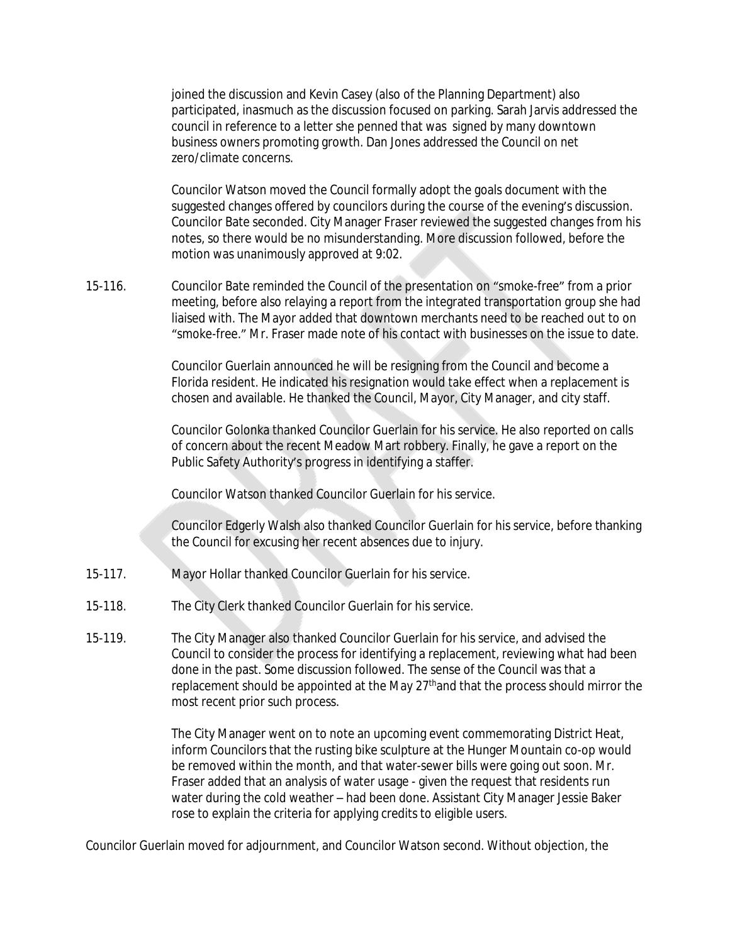joined the discussion and Kevin Casey (also of the Planning Department) also participated, inasmuch as the discussion focused on parking. Sarah Jarvis addressed the council in reference to a letter she penned that was signed by many downtown business owners promoting growth. Dan Jones addressed the Council on net zero/climate concerns.

Councilor Watson moved the Council formally adopt the goals document with the suggested changes offered by councilors during the course of the evening's discussion. Councilor Bate seconded. City Manager Fraser reviewed the suggested changes from his notes, so there would be no misunderstanding. More discussion followed, before the motion was unanimously approved at 9:02.

15-116. Councilor Bate reminded the Council of the presentation on "smoke-free" from a prior meeting, before also relaying a report from the integrated transportation group she had liaised with. The Mayor added that downtown merchants need to be reached out to on "smoke-free." Mr. Fraser made note of his contact with businesses on the issue to date.

> Councilor Guerlain announced he will be resigning from the Council and become a Florida resident. He indicated his resignation would take effect when a replacement is chosen and available. He thanked the Council, Mayor, City Manager, and city staff.

> Councilor Golonka thanked Councilor Guerlain for his service. He also reported on calls of concern about the recent Meadow Mart robbery. Finally, he gave a report on the Public Safety Authority's progress in identifying a staffer.

Councilor Watson thanked Councilor Guerlain for his service.

Councilor Edgerly Walsh also thanked Councilor Guerlain for his service, before thanking the Council for excusing her recent absences due to injury.

- 15-117. Mayor Hollar thanked Councilor Guerlain for his service.
- 15-118. The City Clerk thanked Councilor Guerlain for his service.
- 15-119. The City Manager also thanked Councilor Guerlain for his service, and advised the Council to consider the process for identifying a replacement, reviewing what had been done in the past. Some discussion followed. The sense of the Council was that a replacement should be appointed at the May 27thand that the process should mirror the most recent prior such process.

The City Manager went on to note an upcoming event commemorating District Heat, inform Councilors that the rusting bike sculpture at the Hunger Mountain co-op would be removed within the month, and that water-sewer bills were going out soon. Mr. Fraser added that an analysis of water usage - given the request that residents run water during the cold weather – had been done. Assistant City Manager Jessie Baker rose to explain the criteria for applying credits to eligible users.

Councilor Guerlain moved for adjournment, and Councilor Watson second. Without objection, the